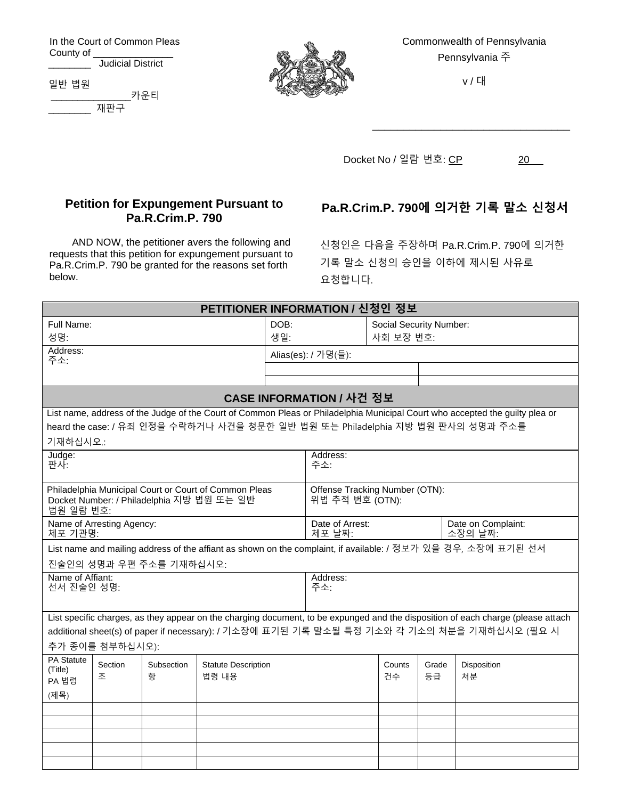In the Court of Common Pleas County of \_\_\_\_\_ **Judicial District** 

일반 법원 \_\_\_\_\_\_\_\_\_\_\_\_\_\_\_카운티  $\overline{\overline{M}}$ 판구



Commonwealth of Pennsylvania Pennsylvania 주

v / 대

\_\_\_\_\_\_\_\_\_\_\_\_\_\_\_\_\_\_\_\_\_\_\_\_\_\_\_\_\_\_\_\_

Docket No / 일람 번호: <u>CP</u> 20 \_\_

## **Petition for Expungement Pursuant to Pa.R.Crim.P. 790**

AND NOW, the petitioner avers the following and requests that this petition for expungement pursuant to Pa.R.Crim.P. 790 be granted for the reasons set forth below.

## **Pa.R.Crim.P. 790에 의거한 기록 말소 신청서**

신청인은 다음을 주장하며 Pa.R.Crim.P. 790에 의거한 기록 말소 신청의 승인을 이하에 제시된 사유로 요청합니다.

| PETITIONER INFORMATION / 신청인 정보                                                                                              |                 |                         |                            |      |                                       |           |                         |                                                                                                                                  |  |  |
|------------------------------------------------------------------------------------------------------------------------------|-----------------|-------------------------|----------------------------|------|---------------------------------------|-----------|-------------------------|----------------------------------------------------------------------------------------------------------------------------------|--|--|
|                                                                                                                              | Full Name:      |                         |                            | DOB: |                                       |           | Social Security Number: |                                                                                                                                  |  |  |
| 성명:                                                                                                                          |                 |                         | 생일:                        |      |                                       | 사회 보장 번호: |                         |                                                                                                                                  |  |  |
| Address:                                                                                                                     |                 |                         |                            |      | Alias(es): / 가명(들):                   |           |                         |                                                                                                                                  |  |  |
| 주소:                                                                                                                          |                 |                         |                            |      |                                       |           |                         |                                                                                                                                  |  |  |
|                                                                                                                              |                 |                         |                            |      |                                       |           |                         |                                                                                                                                  |  |  |
| CASE INFORMATION / 사건 정보                                                                                                     |                 |                         |                            |      |                                       |           |                         |                                                                                                                                  |  |  |
| List name, address of the Judge of the Court of Common Pleas or Philadelphia Municipal Court who accepted the guilty plea or |                 |                         |                            |      |                                       |           |                         |                                                                                                                                  |  |  |
| heard the case: / 유죄 인정을 수락하거나 사건을 청문한 일반 법원 또는 Philadelphia 지방 법원 판사의 성명과 주소를                                               |                 |                         |                            |      |                                       |           |                         |                                                                                                                                  |  |  |
| 기재하십시오.:                                                                                                                     |                 |                         |                            |      |                                       |           |                         |                                                                                                                                  |  |  |
| Judge:                                                                                                                       |                 |                         |                            |      | Address:                              |           |                         |                                                                                                                                  |  |  |
| 판사:                                                                                                                          |                 |                         |                            |      | 주소:                                   |           |                         |                                                                                                                                  |  |  |
| Philadelphia Municipal Court or Court of Common Pleas                                                                        |                 |                         |                            |      | Offense Tracking Number (OTN):        |           |                         |                                                                                                                                  |  |  |
| Docket Number: / Philadelphia 지방 법원 또는 일반<br>법원 일람 번호:                                                                       |                 |                         |                            |      | 위법 추적 번호 (OTN):                       |           |                         |                                                                                                                                  |  |  |
| Name of Arresting Agency:                                                                                                    |                 |                         |                            |      | Date of Arrest:<br>Date on Complaint: |           |                         |                                                                                                                                  |  |  |
| 체포 기관명:                                                                                                                      |                 |                         |                            |      | 소장의 날짜:<br>체포 날짜:                     |           |                         |                                                                                                                                  |  |  |
|                                                                                                                              |                 |                         |                            |      |                                       |           |                         | List name and mailing address of the affiant as shown on the complaint, if available: / 정보가 있을 경우, 소장에 표기된 선서                    |  |  |
|                                                                                                                              |                 | 진술인의 성명과 우편 주소를 기재하십시오: |                            |      |                                       |           |                         |                                                                                                                                  |  |  |
| Name of Affiant:                                                                                                             |                 |                         |                            |      | Address:                              |           |                         |                                                                                                                                  |  |  |
| 선서 진술인 성명:                                                                                                                   |                 |                         |                            |      | 주소:                                   |           |                         |                                                                                                                                  |  |  |
|                                                                                                                              |                 |                         |                            |      |                                       |           |                         |                                                                                                                                  |  |  |
|                                                                                                                              |                 |                         |                            |      |                                       |           |                         | List specific charges, as they appear on the charging document, to be expunged and the disposition of each charge (please attach |  |  |
|                                                                                                                              |                 |                         |                            |      |                                       |           |                         | additional sheet(s) of paper if necessary): / 기소장에 표기된 기록 말소될 특정 기소와 각 기소의 처분을 기재하십시오 (필요 시                                      |  |  |
|                                                                                                                              | 추가 종이를 첨부하십시오): |                         |                            |      |                                       |           |                         |                                                                                                                                  |  |  |
| PA Statute<br>(Title)                                                                                                        | Section         | Subsection              | <b>Statute Description</b> |      |                                       | Counts    | Grade                   | Disposition                                                                                                                      |  |  |
| PA 법령                                                                                                                        | 조               | 항                       | 법령 내용                      |      |                                       | 건수        | 등급                      | 처분                                                                                                                               |  |  |
| (제목)                                                                                                                         |                 |                         |                            |      |                                       |           |                         |                                                                                                                                  |  |  |
|                                                                                                                              |                 |                         |                            |      |                                       |           |                         |                                                                                                                                  |  |  |
|                                                                                                                              |                 |                         |                            |      |                                       |           |                         |                                                                                                                                  |  |  |
|                                                                                                                              |                 |                         |                            |      |                                       |           |                         |                                                                                                                                  |  |  |
|                                                                                                                              |                 |                         |                            |      |                                       |           |                         |                                                                                                                                  |  |  |
|                                                                                                                              |                 |                         |                            |      |                                       |           |                         |                                                                                                                                  |  |  |